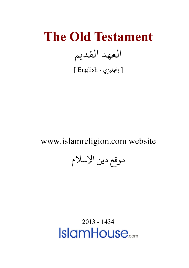## **The Old Testament** العهد القديم

[ إ�ل�ي - English[

## www.islamreligion.com website

موقع دين الإسلام

2013 - 1434**IslamHouse**<sub>com</sub>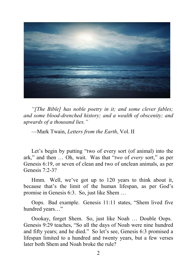

*"[The Bible] has noble poetry in it; and some clever fables; and some blood-drenched history; and a wealth of obscenity; and upwards of a thousand lies."*

—Mark Twain, *Letters from the Earth*, Vol. II

Let's begin by putting "two of every sort (of animal) into the ark," and then … Oh, wait. Was that "*two* of *every* sort," as per Genesis 6:19, or seven of clean and two of unclean animals, as per Genesis 7:2-3?

Hmm. Well, we've got up to 120 years to think about it, because that's the limit of the human lifespan, as per God's promise in Genesis 6:3. So, just like Shem …

Oops. Bad example. Genesis 11:11 states, "Shem lived five hundred years..."

Oookay, forget Shem. So, just like Noah … Double Oops. Genesis 9:29 teaches, "So all the days of Noah were nine hundred and fifty years; and he died." So let's see, Genesis 6:3 promised a lifespan limited to a hundred and twenty years, but a few verses later both Shem and Noah broke the rule?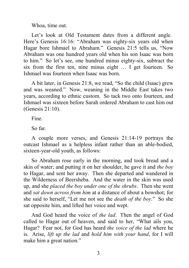Whoa, time out.

Let's look at Old Testament dates from a different angle. Here's Genesis 16:16: "Abraham was eighty-six years old when Hagar bore Ishmael to Abraham." Genesis 21:5 tells us, "Now Abraham was one hundred years old when his son Isaac was born to him." So let's see, one hundred minus eighty-six, subtract the six from the first ten, nine minus eight … I get fourteen. So Ishmael was fourteen when Isaac was born.

A bit later, in Genesis 21:8, we read, "So the child (Isaac) grew and was weaned." Now, weaning in the Middle East takes two years, according to ethnic custom. So tack two onto fourteen, and Ishmael was sixteen before Sarah ordered Abraham to cast him out (Genesis 21:10).

Fine.

So far.

A couple more verses, and Genesis 21:14-19 portrays the outcast Ishmael as a helpless infant rather than an able-bodied, sixteen-year-old youth, as follows:

So Abraham rose early in the morning, and took bread and a skin of water; and putting it on her shoulder, he gave it and *the boy* to Hagar, and sent her away. Then she departed and wandered in the Wilderness of Beersheba. And the water in the skin was used up, and she *placed the boy under one of the shrubs*. Then she went and *sat down across from him* at a distance of about a bowshot; for she said to herself, "Let me not see the *death of the boy*." So she sat opposite him, and lifted her voice and wept.

And God heard the voice of *the lad*. Then the angel of God called to Hagar out of heaven, and said to her, "What ails you, Hagar? Fear not, for God has heard *the voice of the lad* where he is. Arise, *lift up the lad* and *hold him with your hand*, for I will make him a great nation."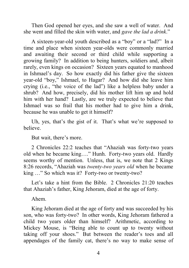Then God opened her eyes, and she saw a well of water. And she went and filled the skin with water, and *gave the lad a drink*."

A sixteen-year-old youth described as a "boy" or a "lad?" In a time and place when sixteen year-olds were commonly married and awaiting their second or third child while supporting a growing family? In addition to being hunters, soldiers and, albeit rarely, even kings on occasion? Sixteen years equated to manhood in Ishmael's day. So how exactly did his father give the sixteen year-old "boy," Ishmael, to Hagar? And how did she leave him crying (i.e., "the voice of the lad") like a helpless baby under a shrub? And how, precisely, did his mother lift him up and hold him with her hand? Lastly, are we truly expected to believe that Ishmael was so frail that his mother had to give him a drink, because he was unable to get it himself?

Uh, yes, that's the gist of it. That's what we're supposed to believe.

But wait, there's more.

2 Chronicles 22:2 teaches that "Ahaziah was forty-two years old when he became king…." Hunh. Forty-two years old. Hardly seems worthy of mention. Unless, that is, we note that 2 Kings 8:26 records, "Ahaziah was *twenty-two years old* when he became king …" So which was it? Forty-two or twenty-two?

Let's take a hint from the Bible. 2 Chronicles 21:20 teaches that Ahaziah's father, King Jehoram, died at the age of forty.

Ahem.

King Jehoram died at the age of forty and was succeeded by his son, who was forty-two? In other words, King Jehoram fathered a child two years older than himself? Arithmetic, according to Mickey Mouse, is "Being able to count up to twenty without taking off your shoes." But between the reader's toes and all appendages of the family cat, there's no way to make sense of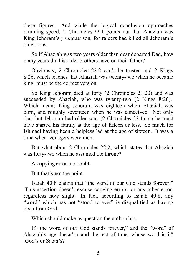these figures. And while the logical conclusion approaches ramming speed, 2 Chronicles 22:1 points out that Ahaziah was King Jehoram's *youngest* son, for raiders had killed all Jehoram's older sons.

So if Ahaziah was two years older than dear departed Dad, how many years did his older brothers have on their father?

Obviously, 2 Chronicles 22:2 can't be trusted and 2 Kings 8:26, which teaches that Ahaziah was twenty-two when he became king, must be the correct version.

So King Jehoram died at forty (2 Chronicles 21:20) and was succeeded by Ahaziah, who was twenty-two (2 Kings 8:26). Which means King Jehoram was eighteen when Ahaziah was born, and roughly seventeen when he was conceived. Not only that, but Jehoram had older sons (2 Chronicles 22:1), so he must have started his family at the age of fifteen or less. So much for Ishmael having been a helpless lad at the age of sixteen. It was a time when teenagers were men.

But what about 2 Chronicles 22:2, which states that Ahaziah was forty-two when he assumed the throne?

A copying error, no doubt.

But that's not the point.

Isaiah 40:8 claims that "the word of our God stands forever." This assertion doesn't excuse copying errors, or any other error, regardless how slight. In fact, according to Isaiah 40:8, any "word" which has not "stood forever" is disqualified as having been from God.

Which should make us question the authorship.

If "the word of our God stands forever," and the "word" of Ahaziah's age doesn't stand the test of time, whose word is it? God's or Satan's?